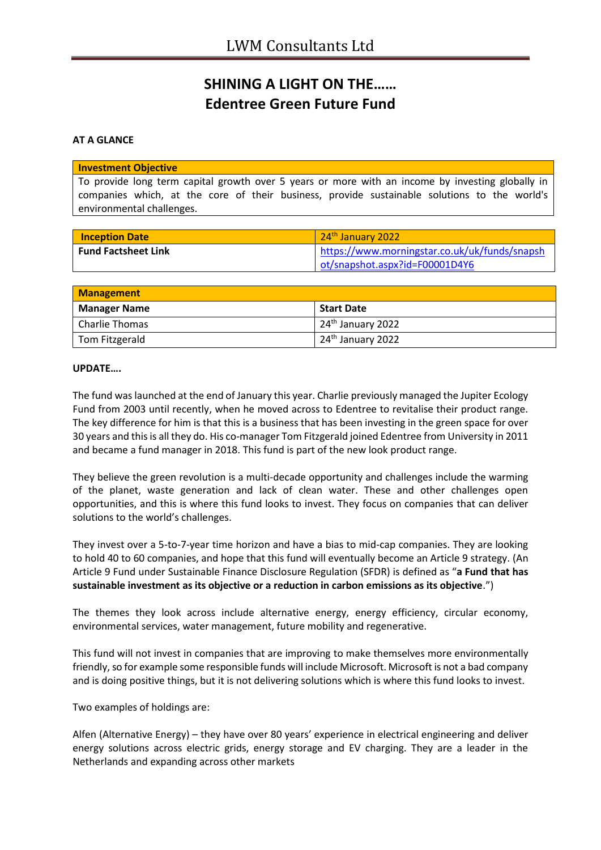## **SHINING A LIGHT ON THE…… Edentree Green Future Fund**

## **AT A GLANCE**

## **Investment Objective**

To provide long term capital growth over 5 years or more with an income by investing globally in companies which, at the core of their business, provide sustainable solutions to the world's environmental challenges.

| <b>Inception Date</b>      | 24 <sup>th</sup> January 2022                 |
|----------------------------|-----------------------------------------------|
| <b>Fund Factsheet Link</b> | https://www.morningstar.co.uk/uk/funds/snapsh |
|                            | ot/snapshot.aspx?id=F00001D4Y6                |

| <b>Management</b>   |                               |
|---------------------|-------------------------------|
| <b>Manager Name</b> | <b>Start Date</b>             |
| Charlie Thomas      | 24 <sup>th</sup> January 2022 |
| Tom Fitzgerald      | 24 <sup>th</sup> January 2022 |

## **UPDATE….**

The fund was launched at the end of January this year. Charlie previously managed the Jupiter Ecology Fund from 2003 until recently, when he moved across to Edentree to revitalise their product range. The key difference for him is that this is a business that has been investing in the green space for over 30 years and this is all they do. His co-manager Tom Fitzgerald joined Edentree from University in 2011 and became a fund manager in 2018. This fund is part of the new look product range.

They believe the green revolution is a multi-decade opportunity and challenges include the warming of the planet, waste generation and lack of clean water. These and other challenges open opportunities, and this is where this fund looks to invest. They focus on companies that can deliver solutions to the world's challenges.

They invest over a 5-to-7-year time horizon and have a bias to mid-cap companies. They are looking to hold 40 to 60 companies, and hope that this fund will eventually become an Article 9 strategy. (An Article 9 Fund under Sustainable Finance Disclosure Regulation (SFDR) is defined as "**a Fund that has sustainable investment as its objective or a reduction in carbon emissions as its objective**.")

The themes they look across include alternative energy, energy efficiency, circular economy, environmental services, water management, future mobility and regenerative.

This fund will not invest in companies that are improving to make themselves more environmentally friendly, so for example some responsible funds will include Microsoft. Microsoft is not a bad company and is doing positive things, but it is not delivering solutions which is where this fund looks to invest.

Two examples of holdings are:

Alfen (Alternative Energy) – they have over 80 years' experience in electrical engineering and deliver energy solutions across electric grids, energy storage and EV charging. They are a leader in the Netherlands and expanding across other markets